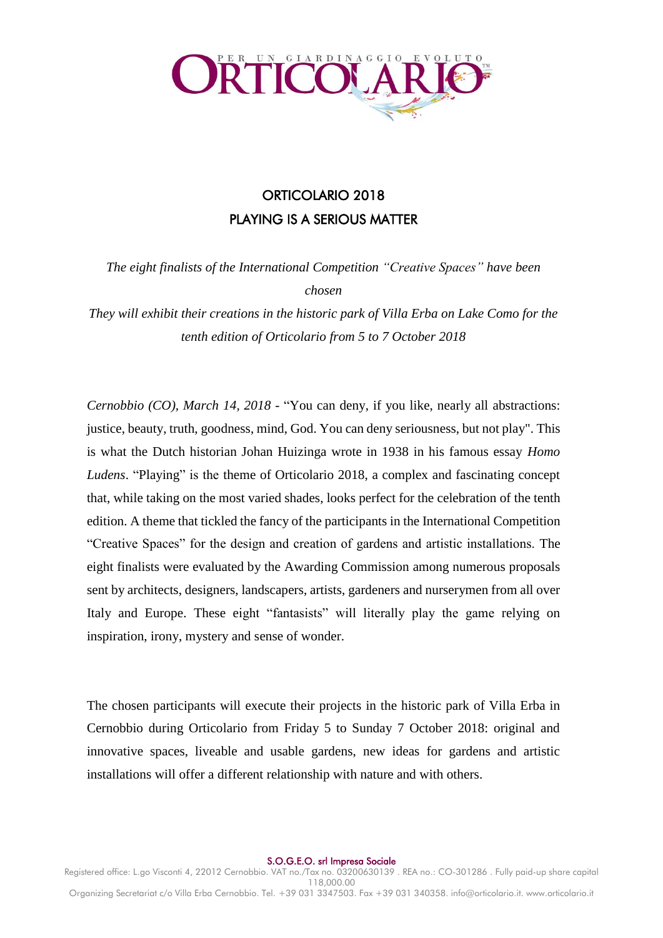

# ORTICOLARIO 2018 PLAYING IS A SERIOUS MATTER

*The eight finalists of the International Competition "Creative Spaces" have been chosen*

*They will exhibit their creations in the historic park of Villa Erba on Lake Como for the tenth edition of Orticolario from 5 to 7 October 2018*

*Cernobbio (CO), March 14, 2018* - "You can deny, if you like, nearly all abstractions: justice, beauty, truth, goodness, mind, God. You can deny seriousness, but not play". This is what the Dutch historian Johan Huizinga wrote in 1938 in his famous essay *Homo Ludens*. "Playing" is the theme of Orticolario 2018, a complex and fascinating concept that, while taking on the most varied shades, looks perfect for the celebration of the tenth edition. A theme that tickled the fancy of the participants in the International Competition "Creative Spaces" for the design and creation of gardens and artistic installations. The eight finalists were evaluated by the Awarding Commission among numerous proposals sent by architects, designers, landscapers, artists, gardeners and nurserymen from all over Italy and Europe. These eight "fantasists" will literally play the game relying on inspiration, irony, mystery and sense of wonder.

The chosen participants will execute their projects in the historic park of Villa Erba in Cernobbio during Orticolario from Friday 5 to Sunday 7 October 2018: original and innovative spaces, liveable and usable gardens, new ideas for gardens and artistic installations will offer a different relationship with nature and with others.

S.O.G.E.O. srl Impresa Sociale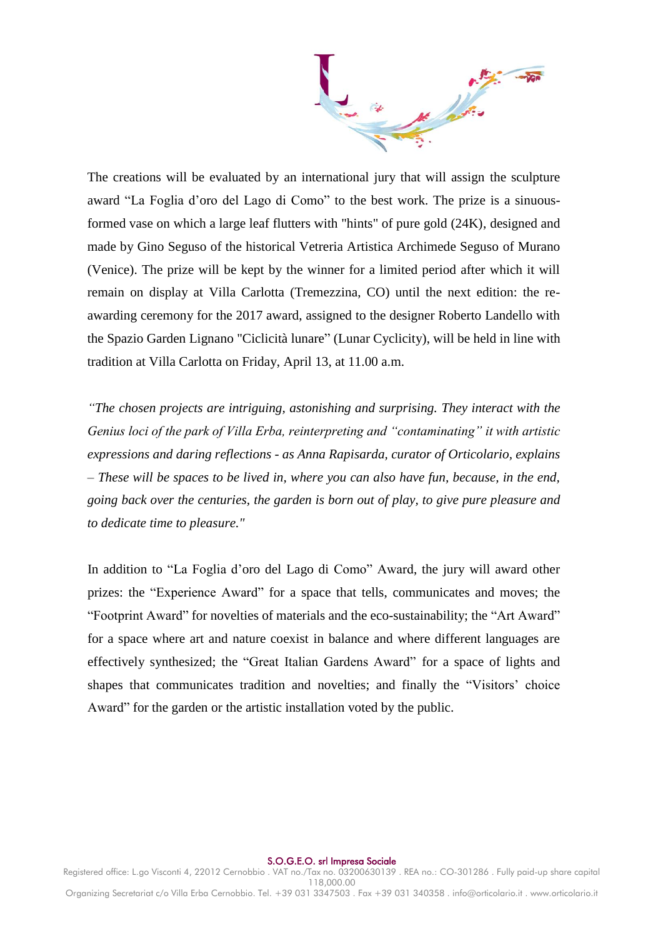The creations will be evaluated by an international jury that will assign the sculpture award "La Foglia d'oro del Lago di Como" to the best work. The prize is a sinuousformed vase on which a large leaf flutters with "hints" of pure gold (24K), designed and made by Gino Seguso of the historical Vetreria Artistica Archimede Seguso of Murano (Venice). The prize will be kept by the winner for a limited period after which it will remain on display at Villa Carlotta (Tremezzina, CO) until the next edition: the reawarding ceremony for the 2017 award, assigned to the designer Roberto Landello with the Spazio Garden Lignano "Ciclicità lunare" (Lunar Cyclicity), will be held in line with tradition at Villa Carlotta on Friday, April 13, at 11.00 a.m.

*"The chosen projects are intriguing, astonishing and surprising. They interact with the Genius loci of the park of Villa Erba, reinterpreting and "contaminating" it with artistic expressions and daring reflections - as Anna Rapisarda, curator of Orticolario, explains – These will be spaces to be lived in, where you can also have fun, because, in the end, going back over the centuries, the garden is born out of play, to give pure pleasure and to dedicate time to pleasure."*

In addition to "La Foglia d'oro del Lago di Como" Award, the jury will award other prizes: the "Experience Award" for a space that tells, communicates and moves; the "Footprint Award" for novelties of materials and the eco-sustainability; the "Art Award" for a space where art and nature coexist in balance and where different languages are effectively synthesized; the "Great Italian Gardens Award" for a space of lights and shapes that communicates tradition and novelties; and finally the "Visitors' choice Award" for the garden or the artistic installation voted by the public.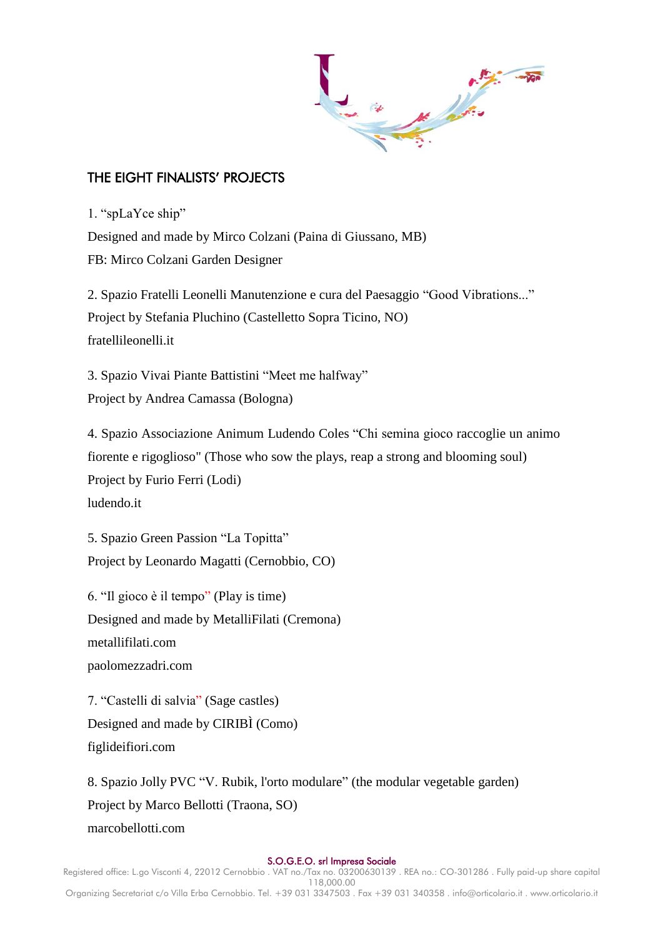

## THE EIGHT FINALISTS' PROJECTS

1. "spLaYce ship"

Designed and made by Mirco Colzani (Paina di Giussano, MB) FB: Mirco Colzani Garden Designer

2. Spazio Fratelli Leonelli Manutenzione e cura del Paesaggio "Good Vibrations..." Project by Stefania Pluchino (Castelletto Sopra Ticino, NO) fratellileonelli.it

3. Spazio Vivai Piante Battistini "Meet me halfway" Project by Andrea Camassa (Bologna)

4. Spazio Associazione Animum Ludendo Coles "Chi semina gioco raccoglie un animo fiorente e rigoglioso" (Those who sow the plays, reap a strong and blooming soul) Project by Furio Ferri (Lodi) ludendo.it

5. Spazio Green Passion "La Topitta" Project by Leonardo Magatti (Cernobbio, CO)

6. "Il gioco è il tempo" (Play is time) Designed and made by MetalliFilati (Cremona) metallifilati.com paolomezzadri.com

7. "Castelli di salvia" (Sage castles) Designed and made by CIRIBÌ (Como) figlideifiori.com

8. Spazio Jolly PVC "V. Rubik, l'orto modulare" (the modular vegetable garden) Project by Marco Bellotti (Traona, SO) marcobellotti.com

#### S.O.G.E.O. srl Impresa Sociale